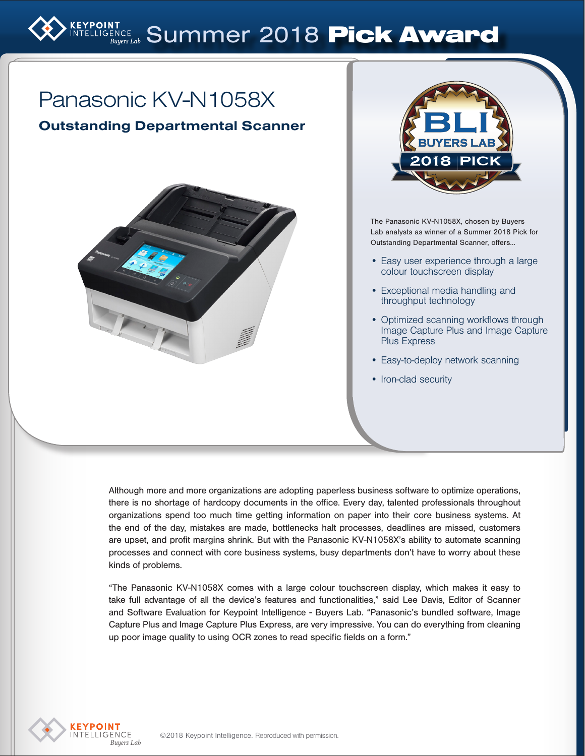# RPOINT BURNINGENCE SUMMER 2018 Pick Award

# Panasonic KV-N1058X

Outstanding Departmental Scanner





The Panasonic KV-N1058X, chosen by Buyers Lab analysts as winner of a Summer 2018 Pick for Outstanding Departmental Scanner, offers…

- Easy user experience through a large colour touchscreen display
- Exceptional media handling and throughput technology
- Optimized scanning workflows through Image Capture Plus and Image Capture Plus Express
- Easy-to-deploy network scanning
- Iron-clad security

Although more and more organizations are adopting paperless business software to optimize operations, there is no shortage of hardcopy documents in the office. Every day, talented professionals throughout organizations spend too much time getting information on paper into their core business systems. At the end of the day, mistakes are made, bottlenecks halt processes, deadlines are missed, customers are upset, and profit margins shrink. But with the Panasonic KV-N1058X's ability to automate scanning processes and connect with core business systems, busy departments don't have to worry about these kinds of problems.

"The Panasonic KV-N1058X comes with a large colour touchscreen display, which makes it easy to take full advantage of all the device's features and functionalities," said Lee Davis, Editor of Scanner and Software Evaluation for Keypoint Intelligence - Buyers Lab. "Panasonic's bundled software, Image Capture Plus and Image Capture Plus Express, are very impressive. You can do everything from cleaning up poor image quality to using OCR zones to read specific fields on a form."